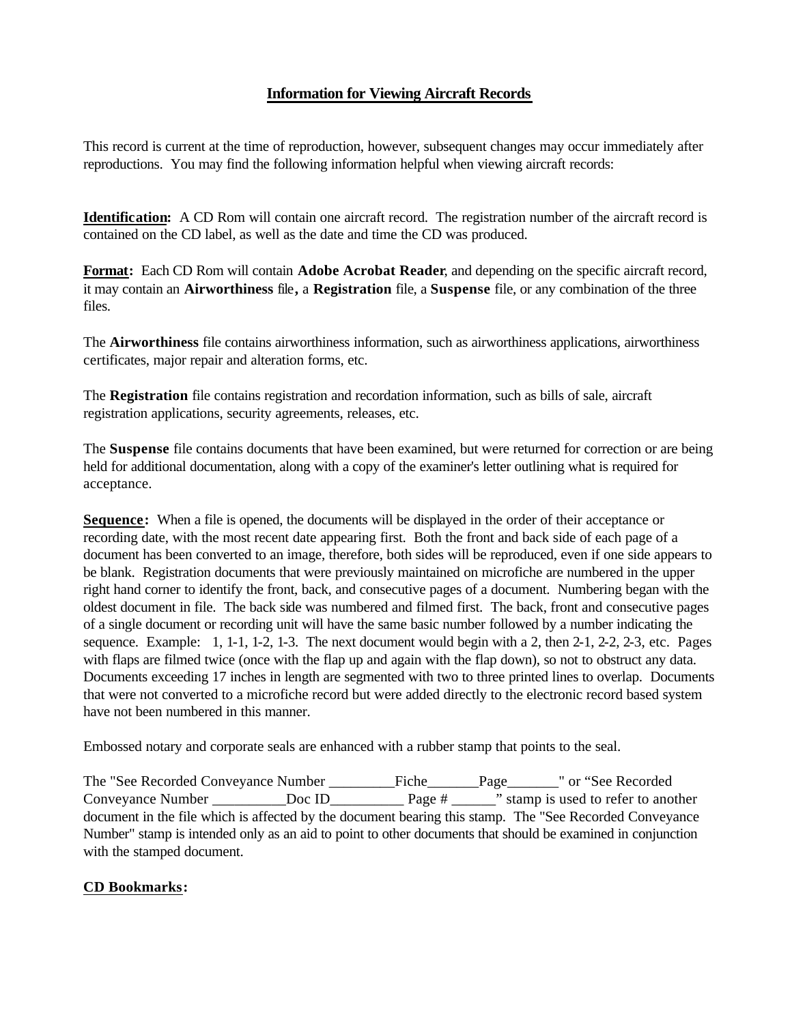## **Information for Viewing Aircraft Records**

This record is current at the time of reproduction, however, subsequent changes may occur immediately after reproductions. You may find the following information helpful when viewing aircraft records:

**Identification:** A CD Rom will contain one aircraft record. The registration number of the aircraft record is contained on the CD label, as well as the date and time the CD was produced.

**Format:** Each CD Rom will contain **Adobe Acrobat Reader**, and depending on the specific aircraft record, it may contain an **Airworthiness** file**,** a **Registration** file, a **Suspense** file, or any combination of the three files.

The **Airworthiness** file contains airworthiness information, such as airworthiness applications, airworthiness certificates, major repair and alteration forms, etc.

The **Registration** file contains registration and recordation information, such as bills of sale, aircraft registration applications, security agreements, releases, etc.

The **Suspense** file contains documents that have been examined, but were returned for correction or are being held for additional documentation, along with a copy of the examiner's letter outlining what is required for acceptance.

**Sequence:** When a file is opened, the documents will be displayed in the order of their acceptance or recording date, with the most recent date appearing first. Both the front and back side of each page of a document has been converted to an image, therefore, both sides will be reproduced, even if one side appears to be blank. Registration documents that were previously maintained on microfiche are numbered in the upper right hand corner to identify the front, back, and consecutive pages of a document. Numbering began with the oldest document in file. The back side was numbered and filmed first. The back, front and consecutive pages of a single document or recording unit will have the same basic number followed by a number indicating the sequence. Example: 1, 1-1, 1-2, 1-3. The next document would begin with a 2, then 2-1, 2-2, 2-3, etc. Pages with flaps are filmed twice (once with the flap up and again with the flap down), so not to obstruct any data. Documents exceeding 17 inches in length are segmented with two to three printed lines to overlap. Documents that were not converted to a microfiche record but were added directly to the electronic record based system have not been numbered in this manner.

Embossed notary and corporate seals are enhanced with a rubber stamp that points to the seal.

The "See Recorded Conveyance Number \_\_\_\_\_\_\_\_\_Fiche\_\_\_\_\_\_\_Page\_\_\_\_\_\_\_" or "See Recorded Conveyance Number \_\_\_\_\_\_\_\_\_\_Doc ID\_\_\_\_\_\_\_\_\_\_ Page # \_\_\_\_\_\_" stamp is used to refer to another document in the file which is affected by the document bearing this stamp. The "See Recorded Conveyance Number" stamp is intended only as an aid to point to other documents that should be examined in conjunction with the stamped document.

## **CD Bookmarks:**